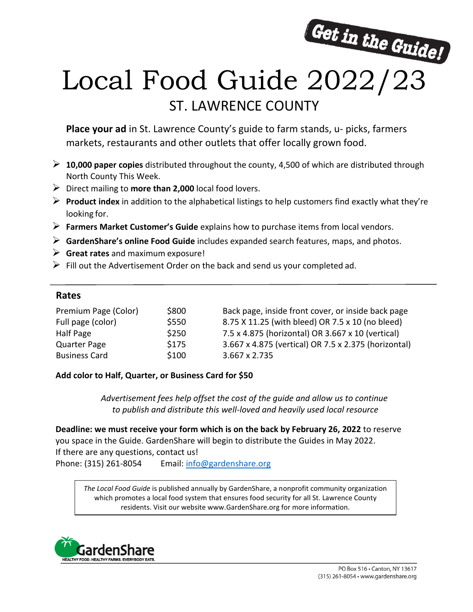

# Local Food Guide 2022/23 ST. LAWRENCE COUNTY

**Place your ad** in St. Lawrence County's guide to farm stands, u- picks, farmers markets, restaurants and other outlets that offer locally grown food.

- **10,000 paper copies** distributed throughout the county, 4,500 of which are distributed through North County This Week.
- Direct mailing to **more than 2,000** local food lovers.
- **Product index** in addition to the alphabetical listings to help customers find exactly what they're looking for.
- **Farmers Market Customer's Guide** explains how to purchase items from local vendors.
- **GardenShare's online Food Guide** includes expanded search features, maps, and photos.
- **Great rates** and maximum exposure!
- $\triangleright$  Fill out the Advertisement Order on the back and send us your completed ad.

## **Rates**

| Premium Page (Color) | \$800 | Back page, inside front cover, or inside back page   |
|----------------------|-------|------------------------------------------------------|
| Full page (color)    | \$550 | 8.75 X 11.25 (with bleed) OR 7.5 x 10 (no bleed)     |
| Half Page            | \$250 | 7.5 x 4.875 (horizontal) OR 3.667 x 10 (vertical)    |
| <b>Quarter Page</b>  | \$175 | 3.667 x 4.875 (vertical) OR 7.5 x 2.375 (horizontal) |
| <b>Business Card</b> | \$100 | 3.667 x 2.735                                        |

### **Add color to Half, Quarter, or Business Card for \$50**

*Advertisement fees help offset the cost of the guide and allow us to continue to publish and distribute this well-loved and heavily used local resource*

**Deadline: we must receive your form which is on the back by February 26, 2022** to reserve you space in the Guide. GardenShare will begin to distribute the Guides in May 2022. If there are any questions, contact us! Phone: (315) 261-8054 Email: [info@gardenshare.org](mailto:info@gardenshare.org)

*The Local Food Guide* is published annually by GardenShare, a nonprofit community organization which promotes a local food system that ensures food security for all St. Lawrence County residents. Visit our website www.GardenShare.org for more information.